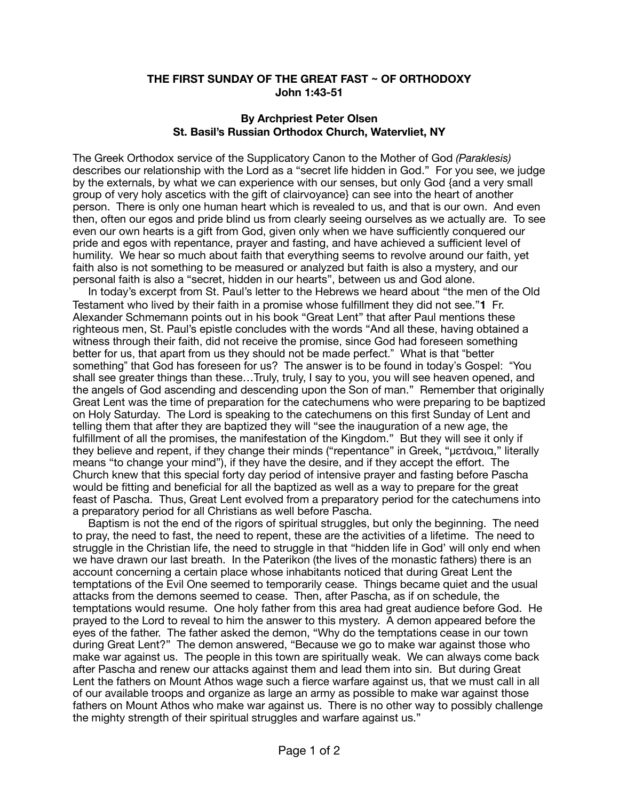## **THE FIRST SUNDAY OF THE GREAT FAST ~ OF ORTHODOXY John 1:43-51**

## **By Archpriest Peter Olsen St. Basil's Russian Orthodox Church, Watervliet, NY**

The Greek Orthodox service of the Supplicatory Canon to the Mother of God *(Paraklesis)*  describes our relationship with the Lord as a "secret life hidden in God." For you see, we judge by the externals, by what we can experience with our senses, but only God {and a very small group of very holy ascetics with the gift of clairvoyance} can see into the heart of another person. There is only one human heart which is revealed to us, and that is our own. And even then, often our egos and pride blind us from clearly seeing ourselves as we actually are. To see even our own hearts is a gift from God, given only when we have sufficiently conquered our pride and egos with repentance, prayer and fasting, and have achieved a sufficient level of humility. We hear so much about faith that everything seems to revolve around our faith, yet faith also is not something to be measured or analyzed but faith is also a mystery, and our personal faith is also a "secret, hidden in our hearts", between us and God alone.

 In today's excerpt from St. Paul's letter to the Hebrews we heard about "the men of the Old Testament who lived by their faith in a promise whose fulfillment they did not see."**1** Fr. Alexander Schmemann points out in his book "Great Lent" that after Paul mentions these righteous men, St. Paul's epistle concludes with the words "And all these, having obtained a witness through their faith, did not receive the promise, since God had foreseen something better for us, that apart from us they should not be made perfect." What is that "better something" that God has foreseen for us? The answer is to be found in today's Gospel: "You shall see greater things than these…Truly, truly, I say to you, you will see heaven opened, and the angels of God ascending and descending upon the Son of man." Remember that originally Great Lent was the time of preparation for the catechumens who were preparing to be baptized on Holy Saturday. The Lord is speaking to the catechumens on this first Sunday of Lent and telling them that after they are baptized they will "see the inauguration of a new age, the fulfillment of all the promises, the manifestation of the Kingdom." But they will see it only if they believe and repent, if they change their minds ("repentance" in Greek, "μετάνοια," literally means "to change your mind"), if they have the desire, and if they accept the effort. The Church knew that this special forty day period of intensive prayer and fasting before Pascha would be fitting and beneficial for all the baptized as well as a way to prepare for the great feast of Pascha. Thus, Great Lent evolved from a preparatory period for the catechumens into a preparatory period for all Christians as well before Pascha.

 Baptism is not the end of the rigors of spiritual struggles, but only the beginning. The need to pray, the need to fast, the need to repent, these are the activities of a lifetime. The need to struggle in the Christian life, the need to struggle in that "hidden life in God' will only end when we have drawn our last breath. In the Paterikon (the lives of the monastic fathers) there is an account concerning a certain place whose inhabitants noticed that during Great Lent the temptations of the Evil One seemed to temporarily cease. Things became quiet and the usual attacks from the demons seemed to cease. Then, after Pascha, as if on schedule, the temptations would resume. One holy father from this area had great audience before God. He prayed to the Lord to reveal to him the answer to this mystery. A demon appeared before the eyes of the father. The father asked the demon, "Why do the temptations cease in our town during Great Lent?" The demon answered, "Because we go to make war against those who make war against us. The people in this town are spiritually weak. We can always come back after Pascha and renew our attacks against them and lead them into sin. But during Great Lent the fathers on Mount Athos wage such a fierce warfare against us, that we must call in all of our available troops and organize as large an army as possible to make war against those fathers on Mount Athos who make war against us. There is no other way to possibly challenge the mighty strength of their spiritual struggles and warfare against us."